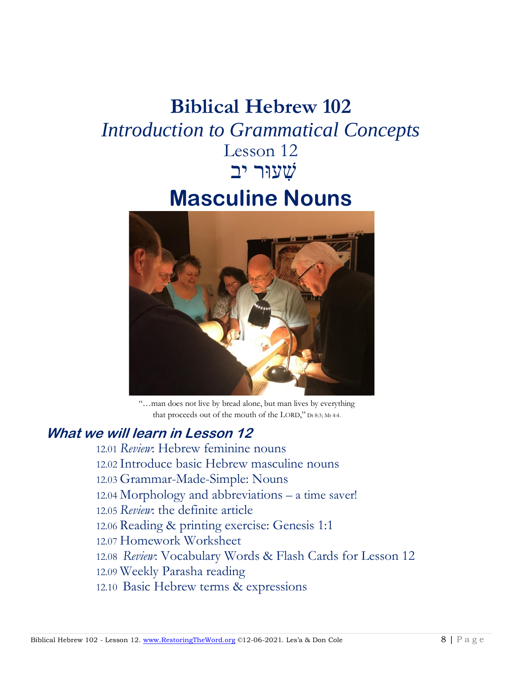# **Biblical Hebrew 102** *Introduction to Grammatical Concepts* Lesson 12 שׁ ִעוּר יב **Masculine Nouns**



"…man does not live by bread alone, but man lives by everything that proceeds out of the mouth of the LORD," Dt 8:3; Mt 4:4.

#### **What we will learn in Lesson 12**

12.01 *Review*: Hebrew feminine nouns 12.02 Introduce basic Hebrew masculine nouns 12.03 Grammar-Made-Simple: Nouns 12.04 Morphology and abbreviations – a time saver! 12.05 *Review*: the definite article 12.06 Reading & printing exercise: Genesis 1:1 12.07 Homework Worksheet 12.08 *Review*: Vocabulary Words & Flash Cards for Lesson 12 12.09 Weekly Parasha reading 12.10 Basic Hebrew terms & expressions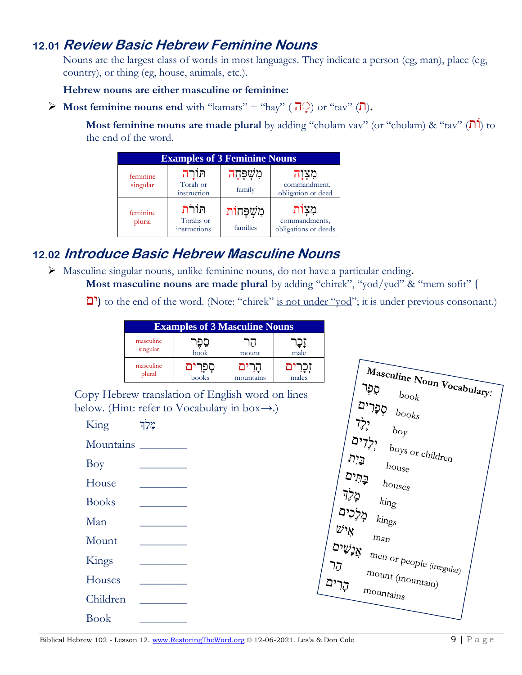#### **12.01 Review Basic Hebrew Feminine Nouns**

Nouns are the largest class of words in most languages. They indicate a person (eg, man), place (eg, country), or thing (eg, house, animals, etc.).

**Hebrew nouns are either masculine or feminine:** 

 $\triangleright$  **Most feminine nouns end** with "kamats" + "hay" ( $\overline{\overline{I}}$ ) or "tav" ( $\overline{\overline{I}}$ ).

**Most feminine nouns are made plural** by adding "cholam vav" (or "cholam)  $\&$  "tav" ( $\[\Pi\]$ ) to the end of the word.

| <b>Examples of 3 Feminine Nouns</b> |                                     |                          |                                                  |
|-------------------------------------|-------------------------------------|--------------------------|--------------------------------------------------|
| feminine<br>singular                | חורה<br>Torah or<br>instruction     | ּמִשְׁפָּחָה<br>family   | מִצְוַה<br>commandment,<br>obligation or deed    |
| feminine<br>plural                  | חוֹרֹת<br>Torahs or<br>instructions | מְשָׁפַּחוֹת<br>families | מִצְוֹת<br>commandments,<br>obligations or deeds |

## **12.02 Introduce Basic Hebrew Masculine Nouns**

➢ Masculine singular nouns, unlike feminine nouns, do not have a particular ending**.**

**Most masculine nouns are made plural** by adding "chirek", "yod/yud" & "mem sofit" (

to the end of the word. (Note: "chirek" is not under "yod"; it is under previous consonant.)

| <b>Examples of 3 Masculine Nouns</b> |                          |                |       |
|--------------------------------------|--------------------------|----------------|-------|
| masculine<br>singular                | $\overline{\text{book}}$ | ا ، ا<br>mount | male  |
| masculine<br>plural                  | books                    | mountains      | males |

Copy Hebrew translation of English word on lines below. (Hint: refer to Vocabulary in box→.)



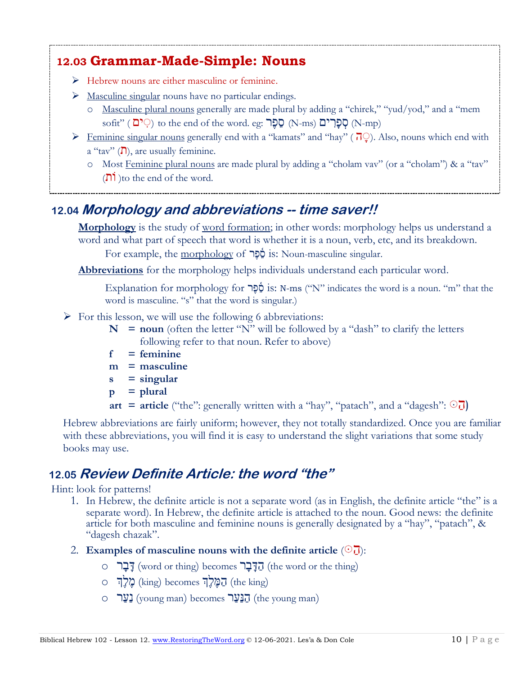## **12.03 Grammar-Made-Simple: Nouns**

- ➢ Hebrew nouns are either masculine or feminine.
- $\triangleright$  Masculine singular nouns have no particular endings.
	- o Masculine plural nouns generally are made plural by adding a "chirek," "yud/yod," and a "mem sofit" ( יָם ְהֵ to the end of the word. eg: הָפָרִים (N-ms) הָפָרִים (N-mp)
- $\triangleright$  Feminine singular nouns generally end with a "kamats" and "hay" ( $\overline{1}$ ). Also, nouns which end with  $a''$ tav" ( $\overline{D}$ ), are usually feminine.
	- o Most Feminine plural nouns are made plural by adding a "cholam vav" (or a "cholam") & a "tav" ( $\overline{n}$ ) to the end of the word.

# **12.04 Morphology and abbreviations -- time saver!!**

**Morphology** is the study of <u>word formation</u>; in other words: morphology helps us understand a word and what part of speech that word is whether it is a noun, verb, etc, and its breakdown.

For example, the morphology of **כֹּב**ּל is: Noun-masculine singular.

**Abbreviations** for the morphology helps individuals understand each particular word.

Explanation for morphology for הָפֶּר is: N-ms ("N" indicates the word is a noun. "m" that the word is masculine. "s" that the word is singular.)

- $\triangleright$  For this lesson, we will use the following 6 abbreviations:
	- $N =$  **noun** (often the letter "N" will be followed by a "dash" to clarify the letters following refer to that noun. Refer to above)
	- **f = feminine**
	- **m = masculine**
	- **s = singular**
	- $p = plural$
	- **art = article** ("the": generally written with a "hay", "patach", and a "dagesh":  $\odot$

Hebrew abbreviations are fairly uniform; however, they not totally standardized. Once you are familiar with these abbreviations, you will find it is easy to understand the slight variations that some study books may use.

# **12.05 Review Definite Article: the word "the"**

Hint: look for patterns!

- 1. In Hebrew, the definite article is not a separate word (as in English, the definite article "the" is a separate word). In Hebrew, the definite article is attached to the noun. Good news: the definite article for both masculine and feminine nouns is generally designated by a "hay", "patach", & " "dagesh chazak".
- 2. **Examples of masculine nouns with the definite article**  $(\odot)$ .
- o הָבָּֽֽֽֽ $\sim$  (word or thing) becomes הַדְּבָר (the word or the thing)
- (king the (הַ מֶ לְֶך becomes) king (מֶ לְֶך o house the הַ בַּ יִת
- י בי נוס (inc ang) coording (the seconds)  $\exists y \exists y$  (the young man) becomes  $\cup$   $\cup$   $\cdot$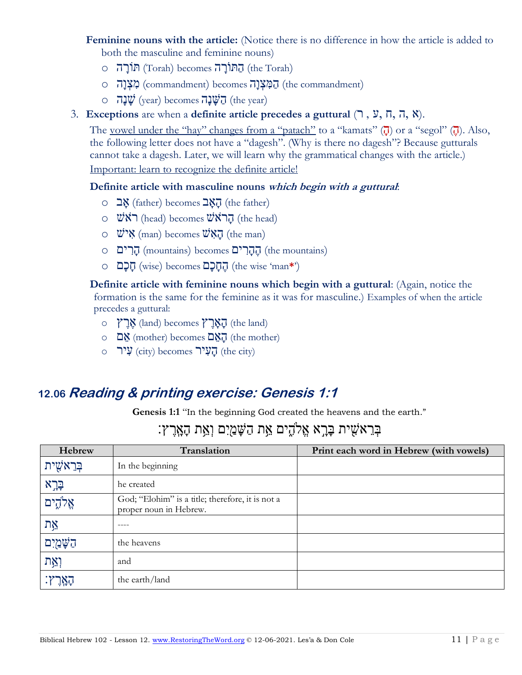- **Feminine nouns with the article:** (Notice there is no difference in how the article is added to both the masculine and feminine nouns)
	- (Torah the (הַ ּתוֹ רָ ה becomes) Torah (ּתוֹרָ הִ o
	- ס (הָמְצָנָה (commandment) becomes) commandment (מִצְנָה
	- $\circ$  הַ שָׁנָה (the year)  $\mathbf{u}$ יבה (the year)

#### 3. **Exceptions** are when a **definite article precedes a guttural** (רִ,ִע,ִח,ִה,ִא(.

The <u>vowel under the "hay" changes from a "patach"</u> to a "kamats"  $(\vec{\mu})$  or a "segol"  $(\vec{\mu})$ . Also, the following letter does not have a "dagesh". (Why is there no dagesh"? Because gutturals cannot take a dagesh. Later, we will learn why the grammatical changes with the article.) Important: learn to recognize the definite article!

#### **Definite article with masculine nouns which begin with a guttural**:

- $\circ$  בְ $\chi$  (father) becomes  $\exists \chi \bar{\eta}$  (the father)
- $\circ$   $\forall x \in \mathbb{R}$  (head) becomes  $\forall x \in \mathbb{R}$  (the head)
- $\circ$   $\mathbb{W}\times$  (man) becomes  $\mathbb{W}\times\mathbb{R}$  (the man)
- (mountains the (הֶ הָ ר יםִ becomes) mountains (הָ ר ים o
- ('**\***man 'wise the (הֶ חָ כָםִ becomes) wise (חָ כָם o

**Definite article with feminine nouns which begin with a guttural**: (Again, notice the formation is the same for the feminine as it was for masculine.) Examples of when the article precedes a guttural:

- $\circ$  אֲרֶ $\mathbf{X}$  (land) becomes)  $\mathbf{X}$ הָאֲרֵ (the land)
- הַ (mother) becomes)  $\overline{C}$ אֲם (the mother)
- $\circ$  קַעֲיר (city) becomes)  $\overline{y}$ יר (the city)

#### **12.06 Reading & printing exercise: Genesis 1:1**

**Genesis 1:1** "In the beginning God created the heavens and the earth."

## ּ בְּרָאשִׁית בַּרֵא אֱלֹהֶים אֵת הַשַּׁמַיִם וְאֵת הַאֲרֶץ:

| Hebrew      | Translation                                                                | Print each word in Hebrew (with vowels) |
|-------------|----------------------------------------------------------------------------|-----------------------------------------|
| בִּרֵאשִׁית | In the beginning                                                           |                                         |
| בְּרָא      | he created                                                                 |                                         |
| אֱלֹהֶים    | God; "Elohim" is a title; therefore, it is not a<br>proper noun in Hebrew. |                                         |
| אֵת         | ----                                                                       |                                         |
| הַשָּׁמַיִם | the heavens                                                                |                                         |
| וְאֵת       | and                                                                        |                                         |
|             | the earth/land                                                             |                                         |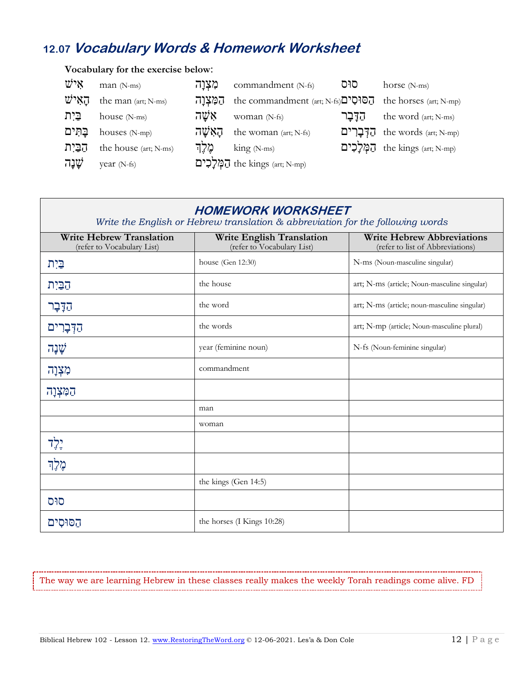### **12.07 Vocabulary Words & Homework Worksheet**

#### **Vocabulary for the exercise below**:  $\mathbb{W}^{\bullet}$ יש man (N-ms) הַאֲלְנָה commandment (N-fs) סוּס horse (N-ms)  $\vec{v}$ יה the man (art; N-ms) הַמְצְרַה the commandment (art; N-fs) יהַסוּסִים the horses (art; N-mp) הַדָּבָר house (N-ms) הַדָּבָר woman (N-fs) הַדָּבָר the word (art; N-ms) יהַאָּשֵׁה ibouses (N-mp) הַאֲשָׂה the woman (art; N-fs) הַקְּבָרִים the words (art; N-mp) תְּמִלְכִים the house (art; N-ms) הֵמְלִכִים  $\lim_{N\to\infty}$  (N-ms)  $\lim_{N\to\infty}$ הַבִּיִת the kings (art; N-mp)  $\ddot{\psi}$  year (N-fs)  $\ddot{\psi}$  the kings (art; N-mp)

| <b>HOMEWORK WORKSHEET</b><br>Write the English or Hebrew translation & abbreviation for the following words |                                                         |                                                                       |  |
|-------------------------------------------------------------------------------------------------------------|---------------------------------------------------------|-----------------------------------------------------------------------|--|
| <b>Write Hebrew Translation</b><br>(refer to Vocabulary List)                                               | Write English Translation<br>(refer to Vocabulary List) | <b>Write Hebrew Abbreviations</b><br>(refer to list of Abbreviations) |  |
| בֵּיִת                                                                                                      | house (Gen 12:30)                                       | N-ms (Noun-masculine singular)                                        |  |
| הַבַּיִת                                                                                                    | the house                                               | art; N-ms (article; Noun-masculine singular)                          |  |
| הַדָּבָר                                                                                                    | the word                                                | art; N-ms (article; noun-masculine singular)                          |  |
| הַדְּבָרִים                                                                                                 | the words                                               | art; N-mp (article; Noun-masculine plural)                            |  |
| שְׁנָה                                                                                                      | year (feminine noun)                                    | N-fs (Noun-feminine singular)                                         |  |
| מִצְוָה                                                                                                     | commandment                                             |                                                                       |  |
| הַמְּצְוָה                                                                                                  |                                                         |                                                                       |  |
|                                                                                                             | man                                                     |                                                                       |  |
|                                                                                                             | woman                                                   |                                                                       |  |
| יֶלְד                                                                                                       |                                                         |                                                                       |  |
| מֶלֶךְ                                                                                                      |                                                         |                                                                       |  |
|                                                                                                             | the kings (Gen 14:5)                                    |                                                                       |  |
| סוּס                                                                                                        |                                                         |                                                                       |  |
| הסוּסִים                                                                                                    | the horses (I Kings 10:28)                              |                                                                       |  |

The way we are learning Hebrew in these classes really makes the weekly Torah readings come alive. FD